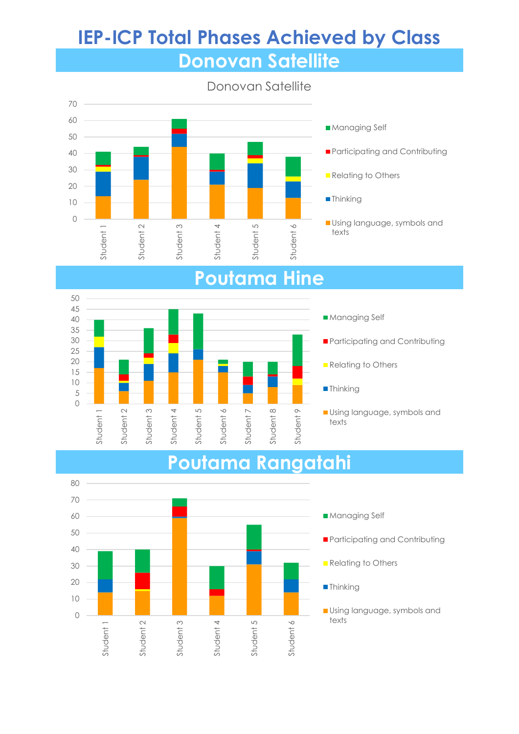## **IEP-ICP Total Phases Achieved by Class Donovan Satellite**



## **Poutama Hine**



# **Participating and Contributing Relating to Others Thinking**

**Using language, symbols and** texts

#### **Poutama Rangatahi**

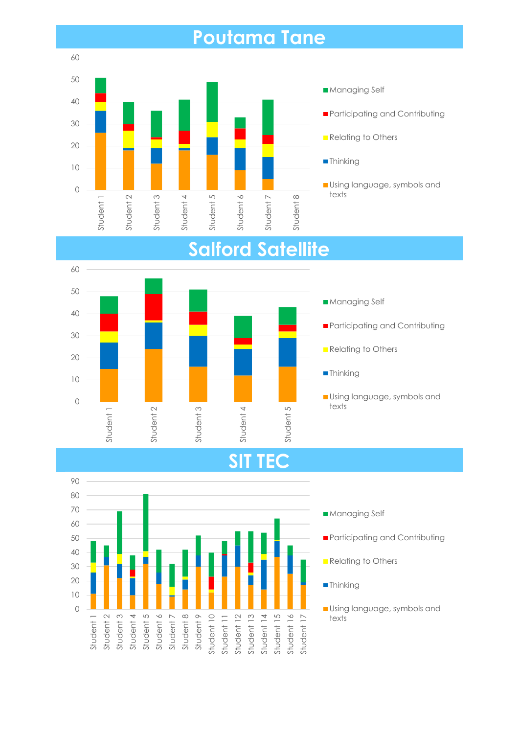## **Poutama Tane**





## **Salford Satellite**

#### **SIT TEC**

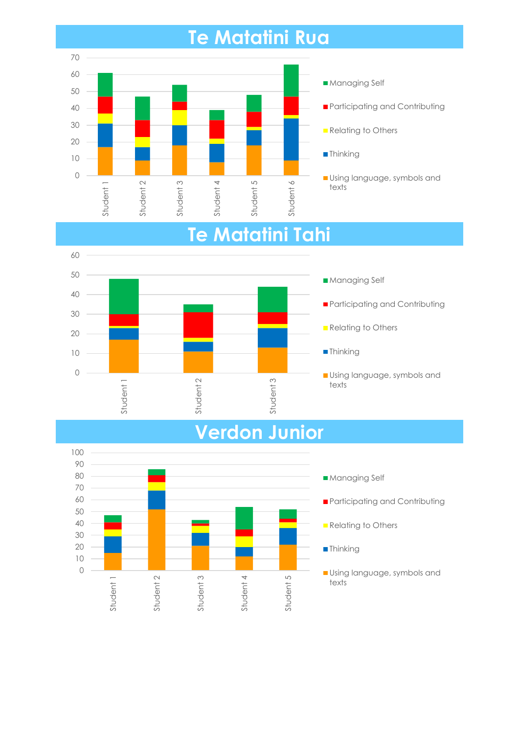## **Te Matatini Rua**





## **Verdon Junior**